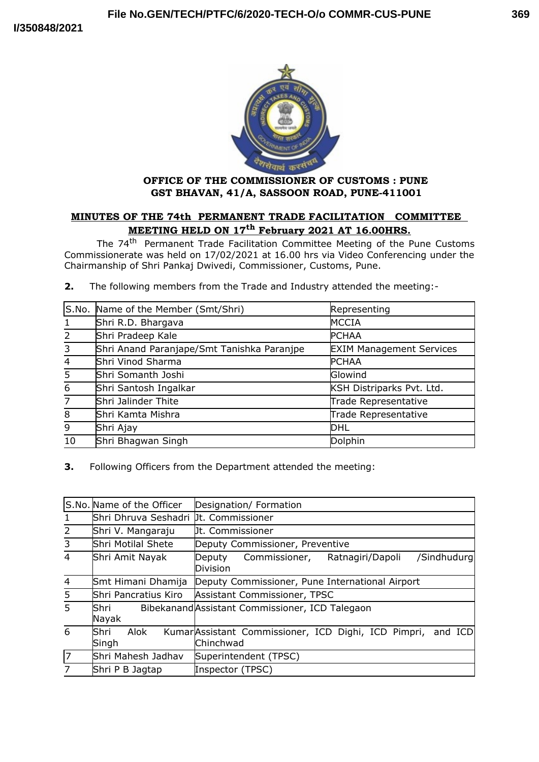

# **OFFICE OF THE COMMISSIONER OF CUSTOMS : PUNE GST BHAVAN, 41/A, SASSOON ROAD, PUNE-411001**

# **MINUTES OF THE 74th PERMANENT TRADE FACILITATION COMMITTEE MEETING HELD ON 17th February 2021 AT 16.00HRS.**

The 74<sup>th</sup> Permanent Trade Facilitation Committee Meeting of the Pune Customs Commissionerate was held on 17/02/2021 at 16.00 hrs via Video Conferencing under the Chairmanship of Shri Pankaj Dwivedi, Commissioner, Customs, Pune.

**2.** The following members from the Trade and Industry attended the meeting:-

|                | S.No. Name of the Member (Smt/Shri)        | Representing                    |
|----------------|--------------------------------------------|---------------------------------|
| 1              | Shri R.D. Bhargava                         | MCCIA                           |
| $\overline{2}$ | Shri Pradeep Kale                          | <b>PCHAA</b>                    |
| $\overline{3}$ | Shri Anand Paranjape/Smt Tanishka Paranjpe | <b>EXIM Management Services</b> |
| $\overline{4}$ | Shri Vinod Sharma                          | <b>PCHAA</b>                    |
| 5              | Shri Somanth Joshi                         | Glowind                         |
| $\overline{6}$ | Shri Santosh Ingalkar                      | KSH Distriparks Pvt. Ltd.       |
| $\overline{7}$ | Shri Jalinder Thite                        | Trade Representative            |
| 8              | Shri Kamta Mishra                          | Trade Representative            |
| 9              | Shri Ajay                                  | DHL                             |
| 10             | Shri Bhagwan Singh                         | Dolphin                         |

**3.** Following Officers from the Department attended the meeting:

|                | S.No. Name of the Officer             | Designation/ Formation                                                   |
|----------------|---------------------------------------|--------------------------------------------------------------------------|
| $\mathbf{1}$   | Shri Dhruva Seshadri µt. Commissioner |                                                                          |
| $\overline{2}$ | Shri V. Mangaraju                     | <b>Ut. Commissioner</b>                                                  |
| $\overline{3}$ | Shri Motilal Shete                    | Deputy Commissioner, Preventive                                          |
| $\overline{4}$ | Shri Amit Nayak                       | /Sindhudurg<br>Commissioner,<br>Ratnagiri/Dapoli<br>Deputy<br>Division   |
| $\overline{4}$ | Smt Himani Dhamija                    | Deputy Commissioner, Pune International Airport                          |
| 5 <sup>1</sup> | Shri Pancratius Kiro                  | Assistant Commissioner, TPSC                                             |
| 5              | Shri<br>Nayak                         | Bibekanand Assistant Commissioner, ICD Talegaon                          |
| 6              | lShri<br>Alok<br>Singh                | KumarAssistant Commissioner, ICD Dighi, ICD Pimpri, and ICD<br>Chinchwad |
| $\sqrt{7}$     | Shri Mahesh Jadhav                    | Superintendent (TPSC)                                                    |
| $\overline{7}$ | Shri P B Jagtap                       | Inspector (TPSC)                                                         |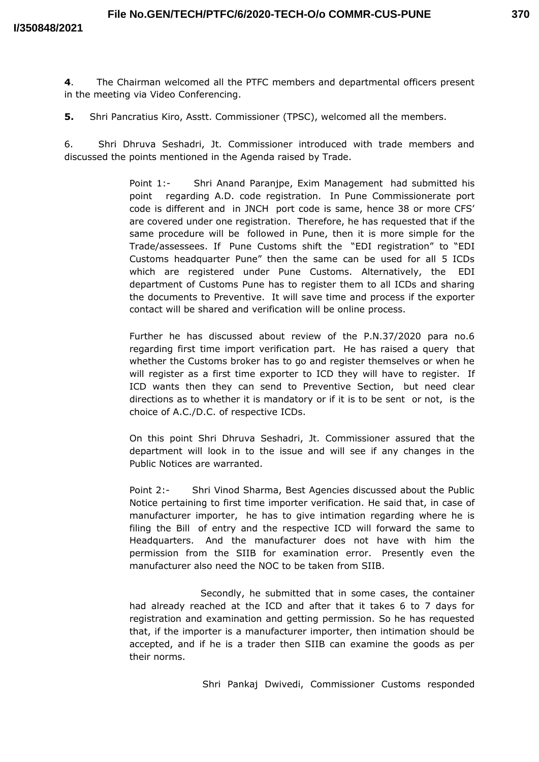**4**. The Chairman welcomed all the PTFC members and departmental officers present in the meeting via Video Conferencing.

**5.** Shri Pancratius Kiro, Asstt. Commissioner (TPSC), welcomed all the members.

6. Shri Dhruva Seshadri, Jt. Commissioner introduced with trade members and discussed the points mentioned in the Agenda raised by Trade.

> Point 1:- Shri Anand Paranjpe, Exim Management had submitted his point regarding A.D. code registration. In Pune Commissionerate port code is different and in JNCH port code is same, hence 38 or more CFS' are covered under one registration. Therefore, he has requested that if the same procedure will be followed in Pune, then it is more simple for the Trade/assessees. If Pune Customs shift the "EDI registration" to "EDI Customs headquarter Pune" then the same can be used for all 5 ICDs which are registered under Pune Customs. Alternatively, the EDI department of Customs Pune has to register them to all ICDs and sharing the documents to Preventive. It will save time and process if the exporter contact will be shared and verification will be online process.

> Further he has discussed about review of the P.N.37/2020 para no.6 regarding first time import verification part. He has raised a query that whether the Customs broker has to go and register themselves or when he will register as a first time exporter to ICD they will have to register. If ICD wants then they can send to Preventive Section, but need clear directions as to whether it is mandatory or if it is to be sent or not, is the choice of A.C./D.C. of respective ICDs.

> On this point Shri Dhruva Seshadri, Jt. Commissioner assured that the department will look in to the issue and will see if any changes in the Public Notices are warranted.

> Point 2:- Shri Vinod Sharma, Best Agencies discussed about the Public Notice pertaining to first time importer verification. He said that, in case of manufacturer importer, he has to give intimation regarding where he is filing the Bill of entry and the respective ICD will forward the same to Headquarters. And the manufacturer does not have with him the permission from the SIIB for examination error. Presently even the manufacturer also need the NOC to be taken from SIIB.

> Secondly, he submitted that in some cases, the container had already reached at the ICD and after that it takes 6 to 7 days for registration and examination and getting permission. So he has requested that, if the importer is a manufacturer importer, then intimation should be accepted, and if he is a trader then SIIB can examine the goods as per their norms.

> > Shri Pankaj Dwivedi, Commissioner Customs responded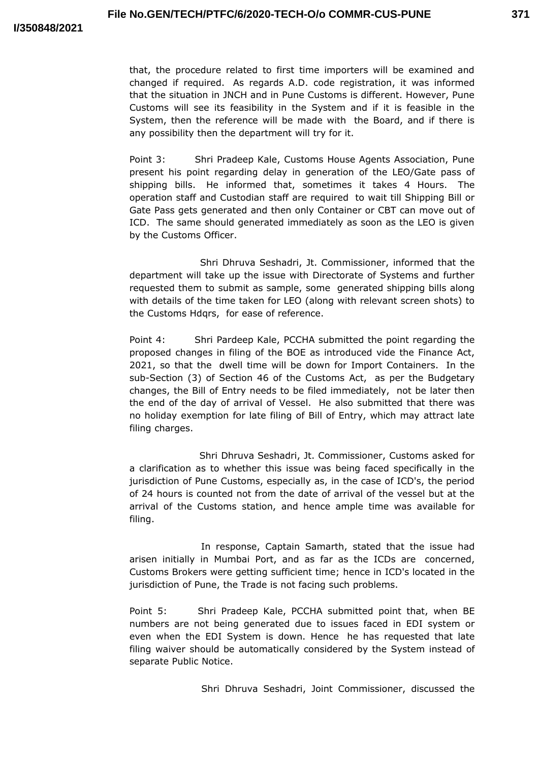that, the procedure related to first time importers will be examined and changed if required. As regards A.D. code registration, it was informed that the situation in JNCH and in Pune Customs is different. However, Pune Customs will see its feasibility in the System and if it is feasible in the System, then the reference will be made with the Board, and if there is any possibility then the department will try for it.

Point 3: Shri Pradeep Kale, Customs House Agents Association, Pune present his point regarding delay in generation of the LEO/Gate pass of shipping bills. He informed that, sometimes it takes 4 Hours. The operation staff and Custodian staff are required to wait till Shipping Bill or Gate Pass gets generated and then only Container or CBT can move out of ICD. The same should generated immediately as soon as the LEO is given by the Customs Officer.

Shri Dhruva Seshadri, Jt. Commissioner, informed that the department will take up the issue with Directorate of Systems and further requested them to submit as sample, some generated shipping bills along with details of the time taken for LEO (along with relevant screen shots) to the Customs Hdqrs, for ease of reference.

Point 4: Shri Pardeep Kale, PCCHA submitted the point regarding the proposed changes in filing of the BOE as introduced vide the Finance Act, 2021, so that the dwell time will be down for Import Containers. In the sub-Section (3) of Section 46 of the Customs Act, as per the Budgetary changes, the Bill of Entry needs to be filed immediately, not be later then the end of the day of arrival of Vessel. He also submitted that there was no holiday exemption for late filing of Bill of Entry, which may attract late filing charges.

Shri Dhruva Seshadri, Jt. Commissioner, Customs asked for a clarification as to whether this issue was being faced specifically in the jurisdiction of Pune Customs, especially as, in the case of ICD's, the period of 24 hours is counted not from the date of arrival of the vessel but at the arrival of the Customs station, and hence ample time was available for filing.

In response, Captain Samarth, stated that the issue had arisen initially in Mumbai Port, and as far as the ICDs are concerned, Customs Brokers were getting sufficient time; hence in ICD's located in the jurisdiction of Pune, the Trade is not facing such problems.

Point 5: Shri Pradeep Kale, PCCHA submitted point that, when BE numbers are not being generated due to issues faced in EDI system or even when the EDI System is down. Hence he has requested that late filing waiver should be automatically considered by the System instead of separate Public Notice.

Shri Dhruva Seshadri, Joint Commissioner, discussed the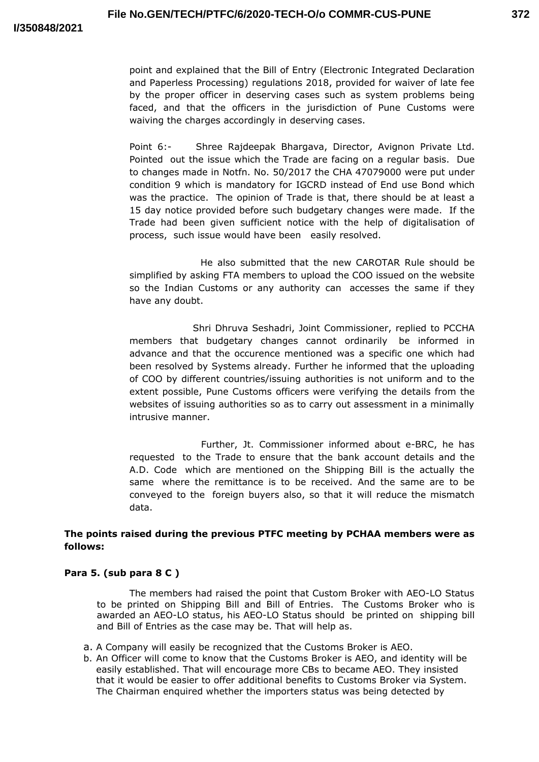point and explained that the Bill of Entry (Electronic Integrated Declaration and Paperless Processing) regulations 2018, provided for waiver of late fee by the proper officer in deserving cases such as system problems being faced, and that the officers in the jurisdiction of Pune Customs were waiving the charges accordingly in deserving cases.

Point 6:- Shree Rajdeepak Bhargava, Director, Avignon Private Ltd. Pointed out the issue which the Trade are facing on a regular basis. Due to changes made in Notfn. No. 50/2017 the CHA 47079000 were put under condition 9 which is mandatory for IGCRD instead of End use Bond which was the practice. The opinion of Trade is that, there should be at least a 15 day notice provided before such budgetary changes were made. If the Trade had been given sufficient notice with the help of digitalisation of process, such issue would have been easily resolved.

He also submitted that the new CAROTAR Rule should be simplified by asking FTA members to upload the COO issued on the website so the Indian Customs or any authority can accesses the same if they have any doubt.

Shri Dhruva Seshadri, Joint Commissioner, replied to PCCHA members that budgetary changes cannot ordinarily be informed in advance and that the occurence mentioned was a specific one which had been resolved by Systems already. Further he informed that the uploading of COO by different countries/issuing authorities is not uniform and to the extent possible, Pune Customs officers were verifying the details from the websites of issuing authorities so as to carry out assessment in a minimally intrusive manner.

Further, Jt. Commissioner informed about e-BRC, he has requested to the Trade to ensure that the bank account details and the A.D. Code which are mentioned on the Shipping Bill is the actually the same where the remittance is to be received. And the same are to be conveyed to the foreign buyers also, so that it will reduce the mismatch data.

# **The points raised during the previous PTFC meeting by PCHAA members were as follows:**

## **Para 5. (sub para 8 C )**

The members had raised the point that Custom Broker with AEO-LO Status to be printed on Shipping Bill and Bill of Entries. The Customs Broker who is awarded an AEO-LO status, his AEO-LO Status should be printed on shipping bill and Bill of Entries as the case may be. That will help as.

- a. A Company will easily be recognized that the Customs Broker is AEO.
- b. An Officer will come to know that the Customs Broker is AEO, and identity will be easily established. That will encourage more CBs to became AEO. They insisted that it would be easier to offer additional benefits to Customs Broker via System. The Chairman enquired whether the importers status was being detected by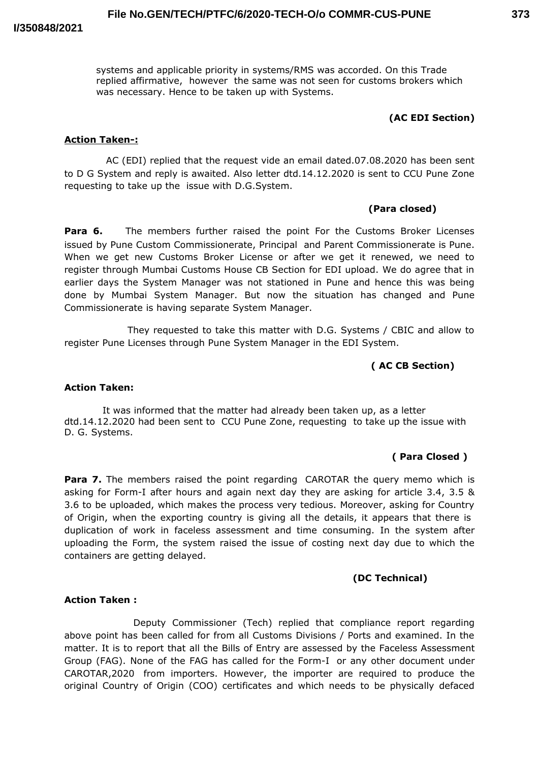systems and applicable priority in systems/RMS was accorded. On this Trade replied affirmative, however the same was not seen for customs brokers which was necessary. Hence to be taken up with Systems.

# **(AC EDI Section)**

### **Action Taken-:**

AC (EDI) replied that the request vide an email dated.07.08.2020 has been sent to D G System and reply is awaited. Also letter dtd.14.12.2020 is sent to CCU Pune Zone requesting to take up the issue with D.G.System.

### **(Para closed)**

**Para 6.** The members further raised the point For the Customs Broker Licenses issued by Pune Custom Commissionerate, Principal and Parent Commissionerate is Pune. When we get new Customs Broker License or after we get it renewed, we need to register through Mumbai Customs House CB Section for EDI upload. We do agree that in earlier days the System Manager was not stationed in Pune and hence this was being done by Mumbai System Manager. But now the situation has changed and Pune Commissionerate is having separate System Manager.

They requested to take this matter with D.G. Systems / CBIC and allow to register Pune Licenses through Pune System Manager in the EDI System.

## **( AC CB Section)**

### **Action Taken:**

It was informed that the matter had already been taken up, as a letter dtd.14.12.2020 had been sent to CCU Pune Zone, requesting to take up the issue with D. G. Systems.

#### **( Para Closed )**

**Para 7.** The members raised the point regarding CAROTAR the query memo which is asking for Form-I after hours and again next day they are asking for article 3.4, 3.5 & 3.6 to be uploaded, which makes the process very tedious. Moreover, asking for Country of Origin, when the exporting country is giving all the details, it appears that there is duplication of work in faceless assessment and time consuming. In the system after uploading the Form, the system raised the issue of costing next day due to which the containers are getting delayed.

## **(DC Technical)**

### **Action Taken :**

Deputy Commissioner (Tech) replied that compliance report regarding above point has been called for from all Customs Divisions / Ports and examined. In the matter. It is to report that all the Bills of Entry are assessed by the Faceless Assessment Group (FAG). None of the FAG has called for the Form-I or any other document under CAROTAR,2020 from importers. However, the importer are required to produce the original Country of Origin (COO) certificates and which needs to be physically defaced